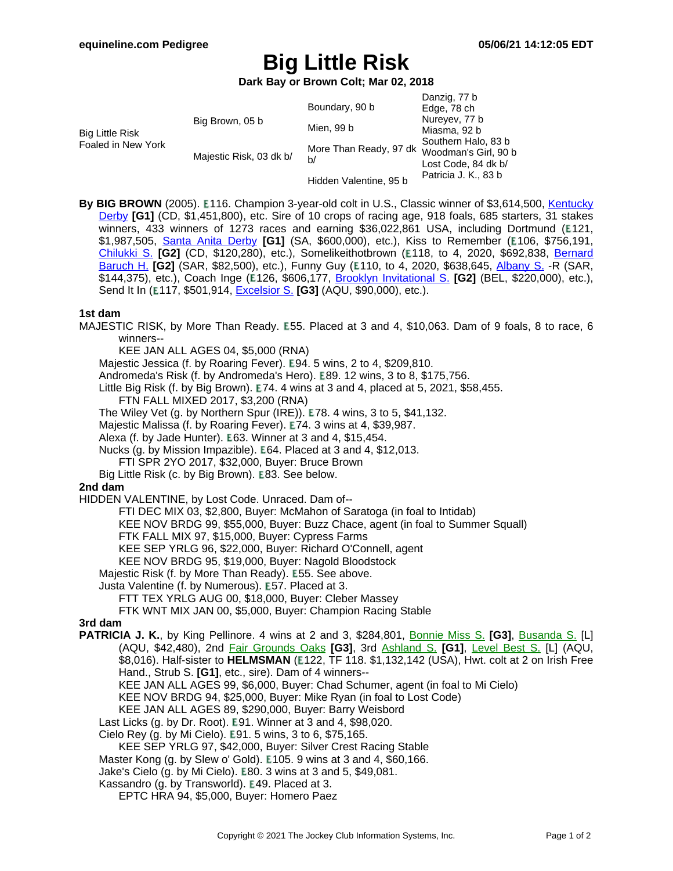# **Big Little Risk**

**Dark Bay or Brown Colt; Mar 02, 2018**

|                                       |                         |                                                   | Danzig, 77 b                                                       |
|---------------------------------------|-------------------------|---------------------------------------------------|--------------------------------------------------------------------|
| Big Little Risk<br>Foaled in New York | Big Brown, 05 b         | Boundary, 90 b                                    | Edge, 78 ch                                                        |
|                                       |                         | Mien, 99 b                                        | Nureyev, 77 b                                                      |
|                                       |                         |                                                   | Miasma, 92 b                                                       |
|                                       | Majestic Risk, 03 dk b/ | More Than Ready, 97 dk Woodman's Girl, 90 b<br>b/ | Southern Halo, 83 b<br>Lost Code, 84 dk b/<br>Patricia J. K., 83 b |
|                                       |                         | Hidden Valentine, 95 b                            |                                                                    |

By BIG BROWN (2005). E116. Champion 3-year-old colt in U.S., Classic winner of \$3,614,500, [Kentucky](https://www.equineline.com/dotVideoChart.cfm?track=CD+&country=USA&race_date=2008-05-03&raceid=mp4:2008/1308/200805031710CHD10_1308.f4v&refno=7453661®istry=T&race_name=Kentucky+Derby&race_number=10&day_evening=D&product_reference_number=40PA) [Derby](https://www.equineline.com/dotVideoChart.cfm?track=CD+&country=USA&race_date=2008-05-03&raceid=mp4:2008/1308/200805031710CHD10_1308.f4v&refno=7453661®istry=T&race_name=Kentucky+Derby&race_number=10&day_evening=D&product_reference_number=40PA) **[G1]** (CD, \$1,451,800), etc. Sire of 10 crops of racing age, 918 foals, 685 starters, 31 stakes winners, 433 winners of 1273 races and earning \$36,022,861 USA, including Dortmund (E121, \$1,987,505, Santa Anita [Derby](https://www.equineline.com/dotVideoChart.cfm?track=SA+&country=USA&race_date=2015-04-04&raceid=mp4:2015/1308/201504041839SAD8_1308.f4v&refno=9371396®istry=T&race_name=Santa+Anita+Derby&race_number=8&day_evening=D&product_reference_number=40PA) **[G1]** (SA, \$600,000), etc.), Kiss to Remember ( 106, \$756,191, [Chilukki](https://www.equineline.com/dotVideoChart.cfm?track=CD+&country=USA&race_date=2016-11-05&raceid=mp4:2016/1308/201611051924CHD9_1308.mp4&refno=9116619®istry=T&race_name=Chilukki+S.&race_number=9&day_evening=D&product_reference_number=40PA) S. **[G2]** (CD, \$120,280), etc.), Somelikeithotbrown ( 118, to 4, 2020, \$692,838, Berna[rd](https://www.equineline.com/dotVideoChart.cfm?track=SAR&country=USA&race_date=2020-07-26&raceid=mp4:2020/1308/202007261745STD9_1308.mp4&refno=10054117®istry=T&race_name=Bernard+Baruch+H.&race_number=9&day_evening=D&product_reference_number=40PA) [Baruch](https://www.equineline.com/dotVideoChart.cfm?track=SAR&country=USA&race_date=2020-07-26&raceid=mp4:2020/1308/202007261745STD9_1308.mp4&refno=10054117®istry=T&race_name=Bernard+Baruch+H.&race_number=9&day_evening=D&product_reference_number=40PA) H. **[G2]** (SAR, \$82,500), etc.), Funny Guy (£110, to 4, 2020, \$638,645, Al[bany](https://www.equineline.com/dotVideoChart.cfm?track=SAR&country=USA&race_date=2019-08-23&raceid=mp4:2019/1308/201908231748STD10_1308.mp4&refno=10065484®istry=T&race_name=Albany+S.&race_number=10&day_evening=D&product_reference_number=40PA) S. -R (SAR, \$144,375), etc.), Coach Inge (£126, \$606,177, **Brooklyn [Invitational](https://www.equineline.com/dotVideoChart.cfm?track=BEL&country=USA&race_date=2015-06-06&raceid=mp4:2015/1308/201506061431BED6_1308.f4v&refno=9085175®istry=T&race_name=Brooklyn+Invitational+S.&race_number=6&day_evening=D&product_reference_number=40PA) S. [G2]** (BEL, \$220,000), etc.), Send It In (E117, \$501,914, **[Excelsior](https://www.equineline.com/dotVideoChart.cfm?track=AQU&country=USA&race_date=2017-04-08&raceid=mp4:2017/1308/201704081639AQD8_1308.mp4&refno=9262809®istry=T&race_name=Excelsior+S.&race_number=8&day_evening=D&product_reference_number=40PA) S. [G3]** (AQU, \$90,000), etc.).

#### **1st dam**

MAJESTIC RISK, by More Than Ready. E55. Placed at 3 and 4, \$10,063. Dam of 9 foals, 8 to race, 6 winners--

KEE JAN ALL AGES 04, \$5,000 (RNA)

Majestic Jessica (f. by Roaring Fever). E94. 5 wins, 2 to 4, \$209,810.

Andromeda's Risk (f. by Andromeda's Hero). E89. 12 wins, 3 to 8, \$175,756.

Little Big Risk (f. by Big Brown).  $E74.4$  wins at 3 and 4, placed at 5, 2021, \$58,455.

FTN FALL MIXED 2017, \$3,200 (RNA)

The Wiley Vet  $(g. by Northern Spur (IRE))$ . E78. 4 wins, 3 to 5, \$41,132.

Majestic Malissa (f. by Roaring Fever). E74. 3 wins at 4, \$39,987.

Alexa (f. by Jade Hunter). E63. Winner at 3 and 4, \$15,454.

Nucks (g. by Mission Impazible). E64. Placed at 3 and 4, \$12,013.

FTI SPR 2YO 2017, \$32,000, Buyer: Bruce Brown

Big Little Risk (c. by Big Brown). E83. See below.

#### **2nd dam**

HIDDEN VALENTINE, by Lost Code. Unraced. Dam of--

FTI DEC MIX 03, \$2,800, Buyer: McMahon of Saratoga (in foal to Intidab)

KEE NOV BRDG 99, \$55,000, Buyer: Buzz Chace, agent (in foal to Summer Squall)

FTK FALL MIX 97, \$15,000, Buyer: Cypress Farms

KEE SEP YRLG 96, \$22,000, Buyer: Richard O'Connell, agent

KEE NOV BRDG 95, \$19,000, Buyer: Nagold Bloodstock

Majestic Risk (f. by More Than Ready). E55. See above.

Justa Valentine (f. by Numerous). E57. Placed at 3.

FTT TEX YRLG AUG 00, \$18,000, Buyer: Cleber Massey

FTK WNT MIX JAN 00, \$5,000, Buyer: Champion Racing Stable

**3rd dam**

**PATRICIA J. K.**, by King Pellinore. 4 wins at 2 and 3, \$284,801, Bonnie [Miss](https://www.equineline.com/dotVideoChart.cfm?track=GP+&country=USA&race_date=1986-03-05&refno=931504®istry=T&race_name=Bonnie+Miss+S.&race_number=9&day_evening=D&product_reference_number=40PA) S. **[G3]**, Bus[anda](https://www.equineline.com/dotVideoChart.cfm?track=AQU&country=USA&race_date=1986-01-12&refno=931504®istry=T&race_name=Busanda+S.&race_number=8&day_evening=D&product_reference_number=40PA) S. [L] (AQU, \$42,480), 2nd Fair [Grounds](https://www.equineline.com/dotVideoChart.cfm?track=FG+&country=USA&race_date=1986-03-22&refno=931504®istry=T&race_name=Fair+Grounds+Oaks&race_number=10&day_evening=D&product_reference_number=40PA) Oaks **[G3]**, 3rd As[hland](https://www.equineline.com/dotVideoChart.cfm?track=KEE&country=USA&race_date=1986-04-19&refno=931504®istry=T&race_name=Ashland+S.&race_number=7&day_evening=D&product_reference_number=40PA) S. **[G1]**, Level [Best](https://www.equineline.com/dotVideoChart.cfm?track=AQU&country=USA&race_date=1986-02-09&refno=931504®istry=T&race_name=Level+Best+S.&race_number=8&day_evening=D&product_reference_number=40PA) S. [L] (AQU, \$8,016). Half-sister to **HELMSMAN** ( 122, TF 118. \$1,132,142 (USA), Hwt. colt at 2 on Irish Free Hand., Strub S. **[G1]**, etc., sire). Dam of 4 winners-- KEE JAN ALL AGES 99, \$6,000, Buyer: Chad Schumer, agent (in foal to Mi Cielo) KEE NOV BRDG 94, \$25,000, Buyer: Mike Ryan (in foal to Lost Code) KEE JAN ALL AGES 89, \$290,000, Buyer: Barry Weisbord Last Licks  $(g. by Dr. Root)$ . E91. Winner at 3 and 4, \$98,020. Cielo Rey (g. by Mi Cielo). E91. 5 wins, 3 to 6, \$75,165.

KEE SEP YRLG 97, \$42,000, Buyer: Silver Crest Racing Stable

Master Kong (g. by Slew o' Gold). E105. 9 wins at 3 and 4, \$60,166.

Jake's Cielo (g. by Mi Cielo). E80. 3 wins at 3 and 5, \$49,081.

Kassandro (g. by Transworld). E49. Placed at 3.

EPTC HRA 94, \$5,000, Buyer: Homero Paez